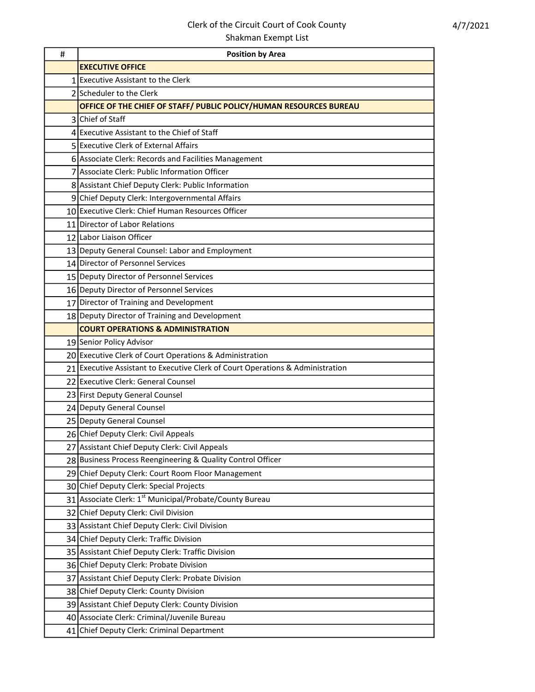## Clerk of the Circuit Court of Cook County Shakman Exempt List

| # | <b>Position by Area</b>                                                        |
|---|--------------------------------------------------------------------------------|
|   | <b>EXECUTIVE OFFICE</b>                                                        |
|   | 1 Executive Assistant to the Clerk                                             |
|   | 2 Scheduler to the Clerk                                                       |
|   | OFFICE OF THE CHIEF OF STAFF/ PUBLIC POLICY/HUMAN RESOURCES BUREAU             |
|   | 3 Chief of Staff                                                               |
|   | 4 Executive Assistant to the Chief of Staff                                    |
|   | 5 Executive Clerk of External Affairs                                          |
|   | 6 Associate Clerk: Records and Facilities Management                           |
|   | 7 Associate Clerk: Public Information Officer                                  |
|   | 8 Assistant Chief Deputy Clerk: Public Information                             |
|   | 9 Chief Deputy Clerk: Intergovernmental Affairs                                |
|   | 10 Executive Clerk: Chief Human Resources Officer                              |
|   | 11 Director of Labor Relations                                                 |
|   | 12 Labor Liaison Officer                                                       |
|   | 13 Deputy General Counsel: Labor and Employment                                |
|   | 14 Director of Personnel Services                                              |
|   | 15 Deputy Director of Personnel Services                                       |
|   | 16 Deputy Director of Personnel Services                                       |
|   | 17 Director of Training and Development                                        |
|   | 18 Deputy Director of Training and Development                                 |
|   | <b>COURT OPERATIONS &amp; ADMINISTRATION</b>                                   |
|   | 19 Senior Policy Advisor                                                       |
|   | 20 Executive Clerk of Court Operations & Administration                        |
|   | 21 Executive Assistant to Executive Clerk of Court Operations & Administration |
|   | 22 Executive Clerk: General Counsel                                            |
|   | 23 First Deputy General Counsel                                                |
|   | 24 Deputy General Counsel                                                      |
|   | 25 Deputy General Counsel                                                      |
|   | 26 Chief Deputy Clerk: Civil Appeals                                           |
|   | 27 Assistant Chief Deputy Clerk: Civil Appeals                                 |
|   | 28 Business Process Reengineering & Quality Control Officer                    |
|   | 29 Chief Deputy Clerk: Court Room Floor Management                             |
|   | 30 Chief Deputy Clerk: Special Projects                                        |
|   | 31 Associate Clerk: 1 <sup>st</sup> Municipal/Probate/County Bureau            |
|   | 32 Chief Deputy Clerk: Civil Division                                          |
|   | 33 Assistant Chief Deputy Clerk: Civil Division                                |
|   | 34 Chief Deputy Clerk: Traffic Division                                        |
|   | 35 Assistant Chief Deputy Clerk: Traffic Division                              |
|   | 36 Chief Deputy Clerk: Probate Division                                        |
|   | 37 Assistant Chief Deputy Clerk: Probate Division                              |
|   | 38 Chief Deputy Clerk: County Division                                         |
|   | 39 Assistant Chief Deputy Clerk: County Division                               |
|   | 40 Associate Clerk: Criminal/Juvenile Bureau                                   |
|   | 41 Chief Deputy Clerk: Criminal Department                                     |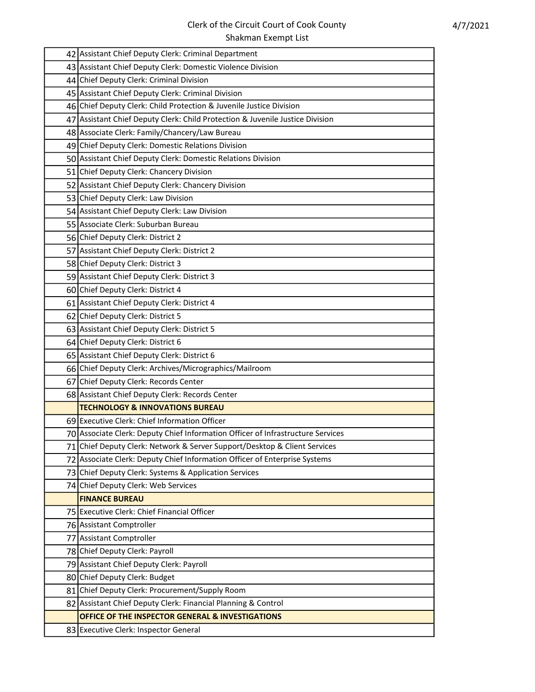| 42 Assistant Chief Deputy Clerk: Criminal Department                            |
|---------------------------------------------------------------------------------|
| 43 Assistant Chief Deputy Clerk: Domestic Violence Division                     |
| 44 Chief Deputy Clerk: Criminal Division                                        |
| 45 Assistant Chief Deputy Clerk: Criminal Division                              |
| 46 Chief Deputy Clerk: Child Protection & Juvenile Justice Division             |
| 47 Assistant Chief Deputy Clerk: Child Protection & Juvenile Justice Division   |
| 48 Associate Clerk: Family/Chancery/Law Bureau                                  |
| 49 Chief Deputy Clerk: Domestic Relations Division                              |
| 50 Assistant Chief Deputy Clerk: Domestic Relations Division                    |
| 51 Chief Deputy Clerk: Chancery Division                                        |
| 52 Assistant Chief Deputy Clerk: Chancery Division                              |
| 53 Chief Deputy Clerk: Law Division                                             |
| 54 Assistant Chief Deputy Clerk: Law Division                                   |
| 55 Associate Clerk: Suburban Bureau                                             |
| 56 Chief Deputy Clerk: District 2                                               |
| 57 Assistant Chief Deputy Clerk: District 2                                     |
| 58 Chief Deputy Clerk: District 3                                               |
| 59 Assistant Chief Deputy Clerk: District 3                                     |
| 60 Chief Deputy Clerk: District 4                                               |
| 61 Assistant Chief Deputy Clerk: District 4                                     |
| 62 Chief Deputy Clerk: District 5                                               |
| 63 Assistant Chief Deputy Clerk: District 5                                     |
| 64 Chief Deputy Clerk: District 6                                               |
| 65 Assistant Chief Deputy Clerk: District 6                                     |
| 66 Chief Deputy Clerk: Archives/Micrographics/Mailroom                          |
| 67 Chief Deputy Clerk: Records Center                                           |
| 68 Assistant Chief Deputy Clerk: Records Center                                 |
| <b>TECHNOLOGY &amp; INNOVATIONS BUREAU</b>                                      |
| 69 Executive Clerk: Chief Information Officer                                   |
| 70 Associate Clerk: Deputy Chief Information Officer of Infrastructure Services |
| 71 Chief Deputy Clerk: Network & Server Support/Desktop & Client Services       |
| 72 Associate Clerk: Deputy Chief Information Officer of Enterprise Systems      |
| 73 Chief Deputy Clerk: Systems & Application Services                           |
| 74 Chief Deputy Clerk: Web Services                                             |
| <b>FINANCE BUREAU</b>                                                           |
| 75 Executive Clerk: Chief Financial Officer                                     |
| 76 Assistant Comptroller                                                        |
| 77 Assistant Comptroller                                                        |
| 78 Chief Deputy Clerk: Payroll                                                  |
| 79 Assistant Chief Deputy Clerk: Payroll                                        |
| 80 Chief Deputy Clerk: Budget                                                   |
| 81 Chief Deputy Clerk: Procurement/Supply Room                                  |
| 82 Assistant Chief Deputy Clerk: Financial Planning & Control                   |
| OFFICE OF THE INSPECTOR GENERAL & INVESTIGATIONS                                |
| 83 Executive Clerk: Inspector General                                           |